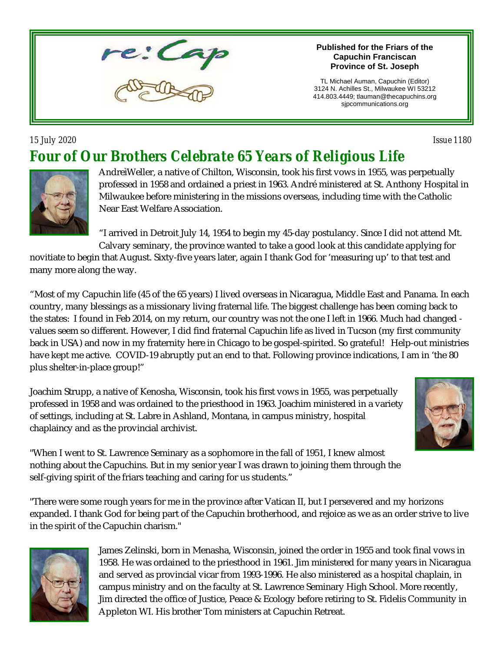

#### **Published for the Friars of the Capuchin Franciscan Province of St. Joseph**

TL Michael Auman, Capuchin (Editor) 3124 N. Achilles St., Milwaukee WI 53212 414.803.4449; tlauman@thecapuchins.org sjpcommunications.org

#### *15 July 2020 Issue 1180 Four of Our Brothers Celebrate 65 Years of Religious Life*



Andreì Weller, a native of Chilton, Wisconsin, took his first vows in 1955, was perpetually professed in 1958 and ordained a priest in 1963. André ministered at St. Anthony Hospital in Milwaukee before ministering in the missions overseas, including time with the Catholic Near East Welfare Association.

"I arrived in Detroit July 14, 1954 to begin my 45-day postulancy. Since I did not attend Mt. Calvary seminary, the province wanted to take a good look at this candidate applying for

novitiate to begin that August. Sixty-five years later, again I thank God for 'measuring up' to that test and many more along the way.

"Most of my Capuchin life (45 of the 65 years) I lived overseas in Nicaragua, Middle East and Panama. In each country, many blessings as a missionary living fraternal life. The biggest challenge has been coming back to the states: I found in Feb 2014, on my return, our country was not the one I left in 1966. Much had changed values seem so different. However, I did find fraternal Capuchin life as lived in Tucson (my first community back in USA) and now in my fraternity here in Chicago to be gospel-spirited. So grateful! Help-out ministries have kept me active. COVID-19 abruptly put an end to that. Following province indications, I am in 'the 80 plus shelter-in-place group!"

Joachim Strupp, a native of Kenosha, Wisconsin, took his first vows in 1955, was perpetually professed in 1958 and was ordained to the priesthood in 1963. Joachim ministered in a variety of settings, including at St. Labre in Ashland, Montana, in campus ministry, hospital chaplaincy and as the provincial archivist.



"When I went to St. Lawrence Seminary as a sophomore in the fall of 1951, I knew almost nothing about the Capuchins. But in my senior year I was drawn to joining them through the self-giving spirit of the friars teaching and caring for us students."

"There were some rough years for me in the province after Vatican II, but I persevered and my horizons expanded. I thank God for being part of the Capuchin brotherhood, and rejoice as we as an order strive to live in the spirit of the Capuchin charism."



James Zelinski, born in Menasha, Wisconsin, joined the order in 1955 and took final vows in 1958. He was ordained to the priesthood in 1961. Jim ministered for many years in Nicaragua and served as provincial vicar from 1993-1996. He also ministered as a hospital chaplain, in campus ministry and on the faculty at St. Lawrence Seminary High School. More recently, Jim directed the office of Justice, Peace & Ecology before retiring to St. Fidelis Community in Appleton WI. His brother Tom ministers at Capuchin Retreat.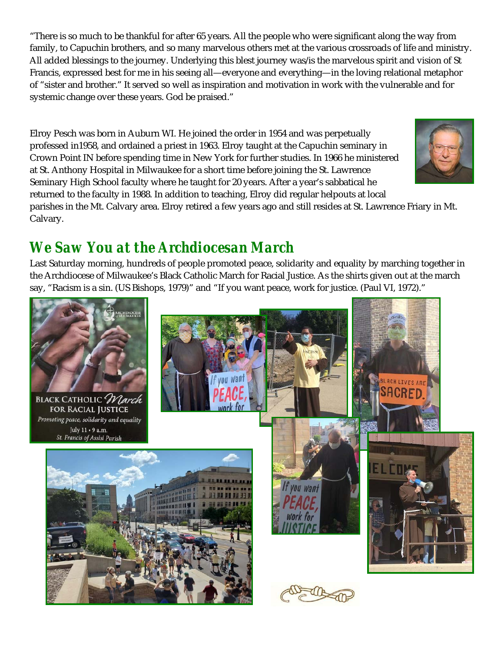"There is so much to be thankful for after 65 years. All the people who were significant along the way from family, to Capuchin brothers, and so many marvelous others met at the various crossroads of life and ministry. All added blessings to the journey. Underlying this blest journey was/is the marvelous spirit and vision of St Francis, expressed best for me in his seeing all—everyone and everything—in the loving relational metaphor of "sister and brother." It served so well as inspiration and motivation in work with the vulnerable and for systemic change over these years. God be praised."

Elroy Pesch was born in Auburn WI. He joined the order in 1954 and was perpetually professed in1958, and ordained a priest in 1963. Elroy taught at the Capuchin seminary in Crown Point IN before spending time in New York for further studies. In 1966 he ministered at St. Anthony Hospital in Milwaukee for a short time before joining the St. Lawrence Seminary High School faculty where he taught for 20 years. After a year's sabbatical he returned to the faculty in 1988. In addition to teaching, Elroy did regular helpouts at local

parishes in the Mt. Calvary area. Elroy retired a few years ago and still resides at St. Lawrence Friary in Mt. Calvary.

### *We Saw You at the Archdiocesan March*

Last Saturday morning, hundreds of people promoted peace, solidarity and equality by marching together in the Archdiocese of Milwaukee's Black Catholic March for Racial Justice. As the shirts given out at the march say, "Racism is a sin. (US Bishops, 1979)" and "If you want peace, work for justice. (Paul VI, 1972)."



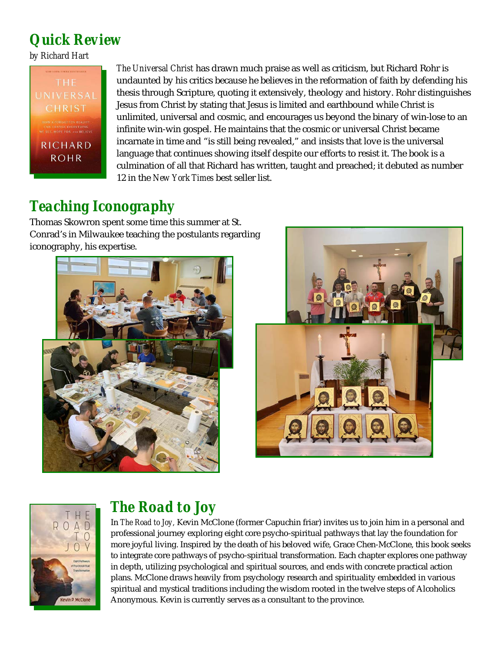# *Quick Review*

*by Richard Hart*



*The Universal Christ* has drawn much praise as well as criticism, but Richard Rohr is undaunted by his critics because he believes in the reformation of faith by defending his thesis through Scripture, quoting it extensively, theology and history. Rohr distinguishes Jesus from Christ by stating that Jesus is limited and earthbound while Christ is unlimited, universal and cosmic, and encourages us beyond the binary of win-lose to an infinite win-win gospel. He maintains that the cosmic or universal Christ became incarnate in time and "is still being revealed," and insists that love is the universal language that continues showing itself despite our efforts to resist it. The book is a culmination of all that Richard has written, taught and preached; it debuted as number 12 in the *New York Times* best seller list.

# *Teaching Iconography*

Thomas Skowron spent some time this summer at St. Conrad's in Milwaukee teaching the postulants regarding iconography, his expertise.







## *The Road to Joy*

In *The Road to Joy,* Kevin McClone (former Capuchin friar) invites us to join him in a personal and professional journey exploring eight core psycho-spiritual pathways that lay the foundation for more joyful living. Inspired by the death of his beloved wife, Grace Chen-McClone, this book seeks to integrate core pathways of psycho-spiritual transformation. Each chapter explores one pathway in depth, utilizing psychological and spiritual sources, and ends with concrete practical action plans. McClone draws heavily from psychology research and spirituality embedded in various spiritual and mystical traditions including the wisdom rooted in the twelve steps of Alcoholics Anonymous. Kevin is currently serves as a consultant to the province.